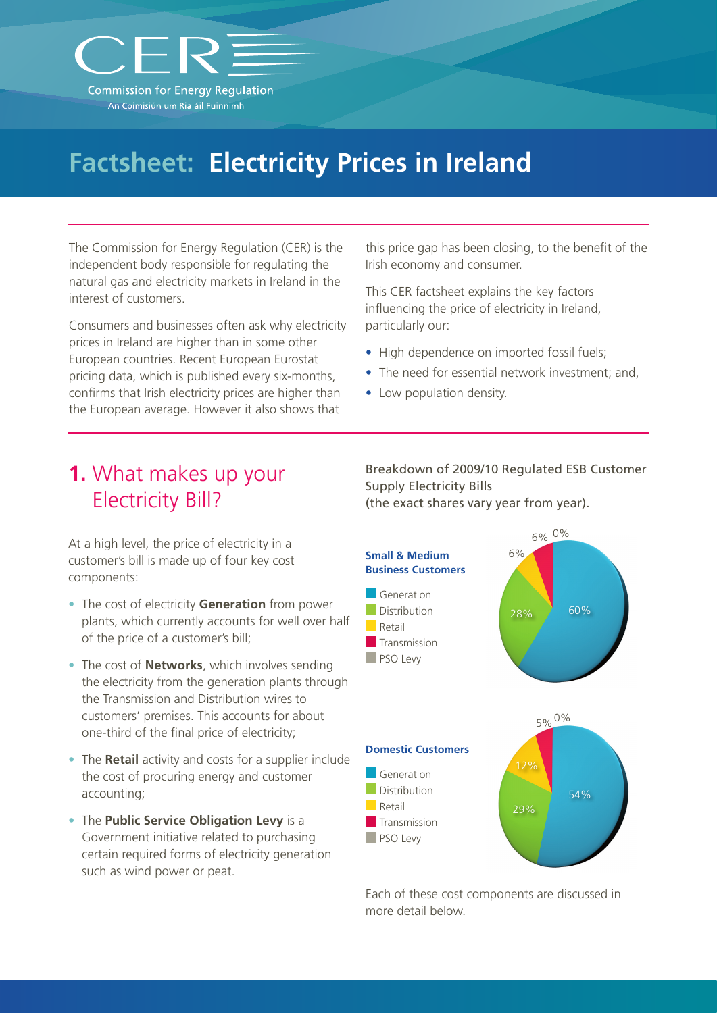

# **Factsheet: Electricity Prices in Ireland**

The Commission for Energy Regulation (CER) is the independent body responsible for regulating the natural gas and electricity markets in Ireland in the interest of customers.

Consumers and businesses often ask why electricity prices in Ireland are higher than in some other European countries. Recent European Eurostat pricing data, which is published every six-months, confirms that Irish electricity prices are higher than the European average. However it also shows that

this price gap has been closing, to the benefit of the Irish economy and consumer.

This CER factsheet explains the key factors influencing the price of electricity in Ireland, particularly our:

- High dependence on imported fossil fuels;
- The need for essential network investment; and,
- Low population density.

## **1.** What makes up your Electricity Bill?

At a high level, the price of electricity in a customer's bill is made up of four key cost components:

- The cost of electricity **Generation** from power plants, which currently accounts for well over half of the price of a customer's bill;
- The cost of **Networks**, which involves sending the electricity from the generation plants through the Transmission and Distribution wires to customers' premises. This accounts for about one-third of the final price of electricity;
- The **Retail** activity and costs for a supplier include the cost of procuring energy and customer accounting;
- The **Public Service Obligation Levy** is a Government initiative related to purchasing certain required forms of electricity generation such as wind power or peat.

Breakdown of 2009/10 Regulated ESB Customer Supply Electricity Bills (the exact shares vary year from year).



Each of these cost components are discussed in more detail below.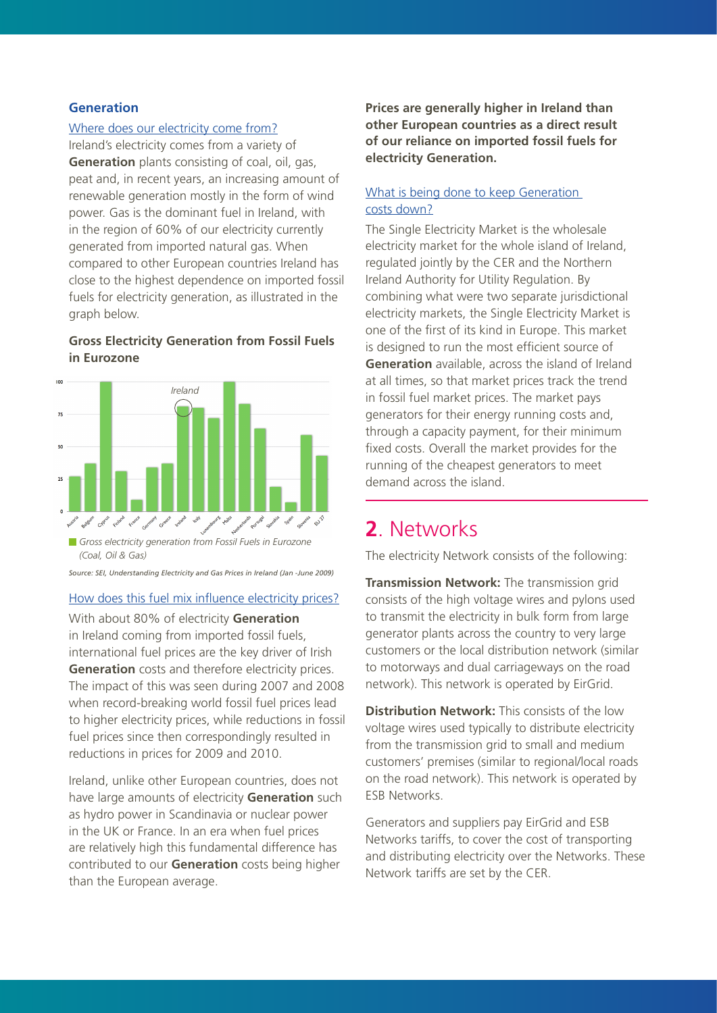#### **Generation**

#### Where does our electricity come from?

Ireland's electricity comes from a variety of **Generation** plants consisting of coal, oil, gas, peat and, in recent years, an increasing amount of renewable generation mostly in the form of wind power. Gas is the dominant fuel in Ireland, with in the region of 60% of our electricity currently generated from imported natural gas. When compared to other European countries Ireland has close to the highest dependence on imported fossil fuels for electricity generation, as illustrated in the graph below.

#### **Gross Electricity Generation from Fossil Fuels in Eurozone**



*Gross electricity generation from Fossil Fuels in Eurozone (Coal, Oil & Gas)*

*Source: SEI, Understanding Electricity and Gas Prices in Ireland (Jan -June 2009)*

#### How does this fuel mix influence electricity prices?

With about 80% of electricity **Generation** in Ireland coming from imported fossil fuels, international fuel prices are the key driver of Irish **Generation** costs and therefore electricity prices. The impact of this was seen during 2007 and 2008 when record-breaking world fossil fuel prices lead to higher electricity prices, while reductions in fossil fuel prices since then correspondingly resulted in reductions in prices for 2009 and 2010.

Ireland, unlike other European countries, does not have large amounts of electricity **Generation** such as hydro power in Scandinavia or nuclear power in the UK or France. In an era when fuel prices are relatively high this fundamental difference has contributed to our **Generation** costs being higher than the European average.

**Prices are generally higher in Ireland than other European countries as a direct result of our reliance on imported fossil fuels for electricity Generation.**

#### What is being done to keep Generation costs down?

The Single Electricity Market is the wholesale electricity market for the whole island of Ireland, regulated jointly by the CER and the Northern Ireland Authority for Utility Regulation. By combining what were two separate jurisdictional electricity markets, the Single Electricity Market is one of the first of its kind in Europe. This market is designed to run the most efficient source of **Generation** available, across the island of Ireland at all times, so that market prices track the trend in fossil fuel market prices. The market pays generators for their energy running costs and, through a capacity payment, for their minimum fixed costs. Overall the market provides for the running of the cheapest generators to meet demand across the island.

### **2**. Networks

The electricity Network consists of the following:

**Transmission Network:** The transmission grid consists of the high voltage wires and pylons used to transmit the electricity in bulk form from large generator plants across the country to very large customers or the local distribution network (similar to motorways and dual carriageways on the road network). This network is operated by EirGrid.

**Distribution Network:** This consists of the low voltage wires used typically to distribute electricity from the transmission grid to small and medium customers' premises (similar to regional/local roads on the road network). This network is operated by ESB Networks.

Generators and suppliers pay EirGrid and ESB Networks tariffs, to cover the cost of transporting and distributing electricity over the Networks. These Network tariffs are set by the CER.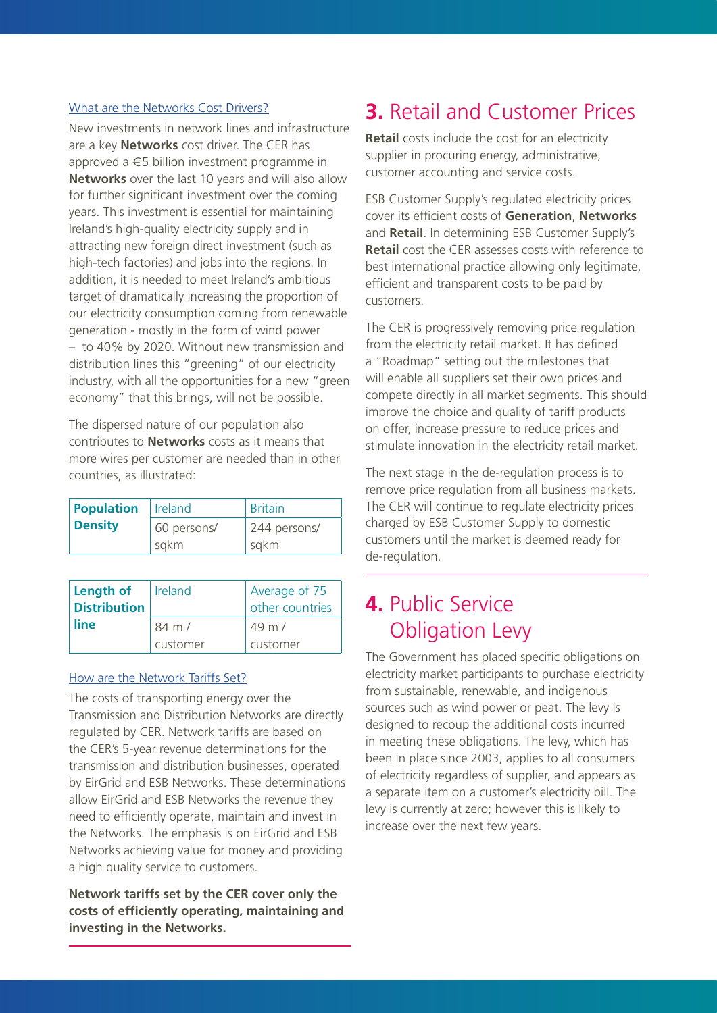#### What are the Networks Cost Drivers?

New investments in network lines and infrastructure are a key **Networks** cost driver. The CER has approved a €5 billion investment programme in **Networks** over the last 10 years and will also allow for further significant investment over the coming years. This investment is essential for maintaining Ireland's high-quality electricity supply and in attracting new foreign direct investment (such as high-tech factories) and jobs into the regions. In addition, it is needed to meet Ireland's ambitious target of dramatically increasing the proportion of our electricity consumption coming from renewable generation - mostly in the form of wind power – to 40% by 2020. Without new transmission and distribution lines this "greening" of our electricity industry, with all the opportunities for a new "green economy" that this brings, will not be possible.

The dispersed nature of our population also contributes to **Networks** costs as it means that more wires per customer are needed than in other countries, as illustrated:

| <b>Population</b> | Ireland     | <b>Britain</b> |
|-------------------|-------------|----------------|
| <b>Density</b>    | 60 persons/ | 244 persons/   |
|                   | sqkm        | sqkm           |

| Length of<br><b>Distribution</b> | Ireland          | Average of 75<br>other countries |
|----------------------------------|------------------|----------------------------------|
| line                             | $84 \text{ m}$ / | $49 \text{ m}$ /                 |
|                                  | customer         | customer                         |

#### How are the Network Tariffs Set?

The costs of transporting energy over the Transmission and Distribution Networks are directly regulated by CER. Network tariffs are based on the CER's 5-year revenue determinations for the transmission and distribution businesses, operated by EirGrid and ESB Networks. These determinations allow EirGrid and ESB Networks the revenue they need to efficiently operate, maintain and invest in the Networks. The emphasis is on EirGrid and ESB Networks achieving value for money and providing a high quality service to customers.

**Network tariffs set by the CER cover only the costs of efficiently operating, maintaining and investing in the Networks.** 

# **3.** Retail and Customer Prices

**Retail** costs include the cost for an electricity supplier in procuring energy, administrative, customer accounting and service costs.

ESB Customer Supply's regulated electricity prices cover its efficient costs of **Generation**, **Networks** and **Retail**. In determining ESB Customer Supply's **Retail** cost the CER assesses costs with reference to best international practice allowing only legitimate, efficient and transparent costs to be paid by customers.

The CER is progressively removing price regulation from the electricity retail market. It has defined a "Roadmap" setting out the milestones that will enable all suppliers set their own prices and compete directly in all market segments. This should improve the choice and quality of tariff products on offer, increase pressure to reduce prices and stimulate innovation in the electricity retail market.

The next stage in the de-regulation process is to remove price regulation from all business markets. The CER will continue to regulate electricity prices charged by ESB Customer Supply to domestic customers until the market is deemed ready for de-regulation.

## **4.** Public Service Obligation Levy

The Government has placed specific obligations on electricity market participants to purchase electricity from sustainable, renewable, and indigenous sources such as wind power or peat. The levy is designed to recoup the additional costs incurred in meeting these obligations. The levy, which has been in place since 2003, applies to all consumers of electricity regardless of supplier, and appears as a separate item on a customer's electricity bill. The levy is currently at zero; however this is likely to increase over the next few years.